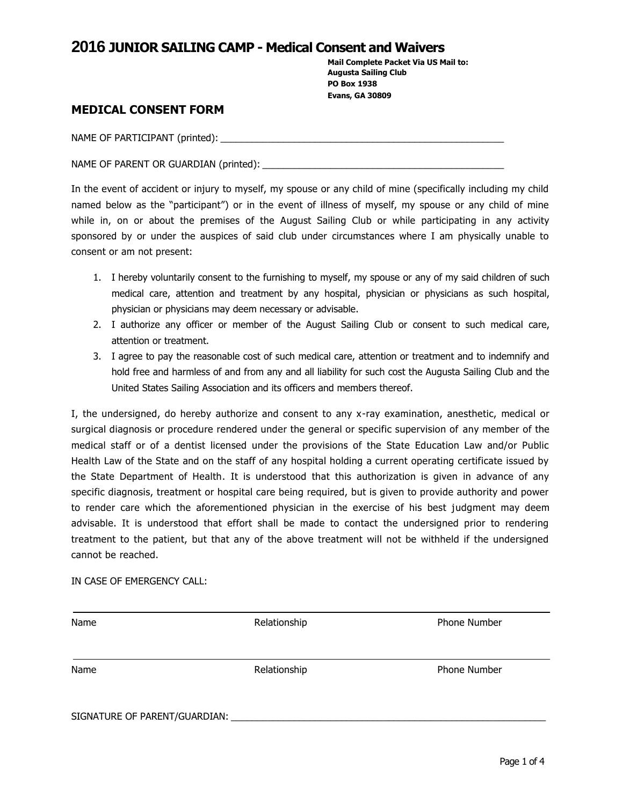**Mail Complete Packet Via US Mail to: Augusta Sailing Club PO Box 1938 Evans, GA 30809**

#### **MEDICAL CONSENT FORM**

NAME OF PARTICIPANT (printed):  $\blacksquare$ 

NAME OF PARENT OR GUARDIAN (printed): \_\_\_\_\_\_\_\_\_\_\_\_\_\_\_\_\_\_\_\_\_\_\_\_\_\_\_\_\_\_\_\_\_\_\_\_\_\_\_\_\_\_\_\_\_\_

In the event of accident or injury to myself, my spouse or any child of mine (specifically including my child named below as the "participant") or in the event of illness of myself, my spouse or any child of mine while in, on or about the premises of the August Sailing Club or while participating in any activity sponsored by or under the auspices of said club under circumstances where I am physically unable to consent or am not present:

- 1. I hereby voluntarily consent to the furnishing to myself, my spouse or any of my said children of such medical care, attention and treatment by any hospital, physician or physicians as such hospital, physician or physicians may deem necessary or advisable.
- 2. I authorize any officer or member of the August Sailing Club or consent to such medical care, attention or treatment.
- 3. I agree to pay the reasonable cost of such medical care, attention or treatment and to indemnify and hold free and harmless of and from any and all liability for such cost the Augusta Sailing Club and the United States Sailing Association and its officers and members thereof.

I, the undersigned, do hereby authorize and consent to any x-ray examination, anesthetic, medical or surgical diagnosis or procedure rendered under the general or specific supervision of any member of the medical staff or of a dentist licensed under the provisions of the State Education Law and/or Public Health Law of the State and on the staff of any hospital holding a current operating certificate issued by the State Department of Health. It is understood that this authorization is given in advance of any specific diagnosis, treatment or hospital care being required, but is given to provide authority and power to render care which the aforementioned physician in the exercise of his best judgment may deem advisable. It is understood that effort shall be made to contact the undersigned prior to rendering treatment to the patient, but that any of the above treatment will not be withheld if the undersigned cannot be reached.

#### IN CASE OF EMERGENCY CALL:

| Name                          | Relationship | <b>Phone Number</b> |
|-------------------------------|--------------|---------------------|
| Name                          | Relationship | <b>Phone Number</b> |
| SIGNATURE OF PARENT/GUARDIAN: |              |                     |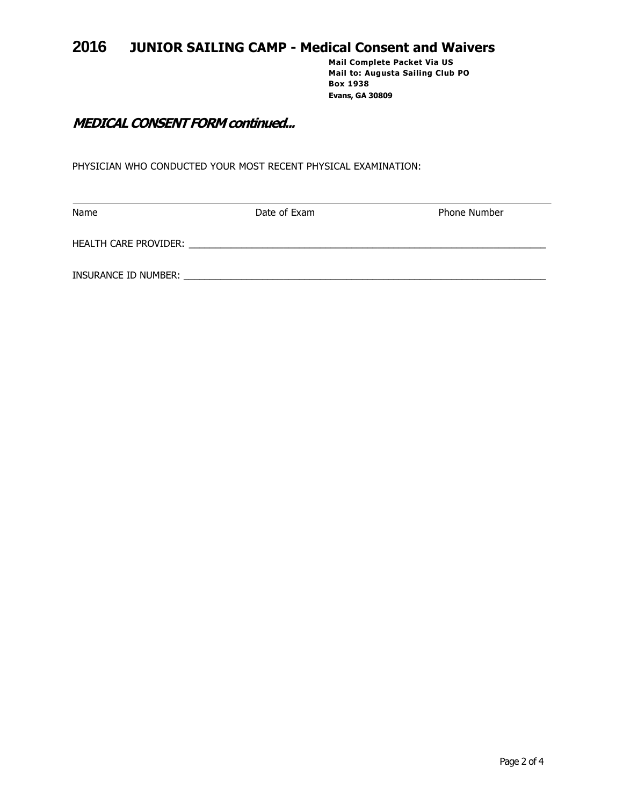**Mail Complete Packet Via US Mail to: Augusta Sailing Club PO Box 1938 Evans, GA 30809**

## **MEDICAL CONSENT FORM continued...**

PHYSICIAN WHO CONDUCTED YOUR MOST RECENT PHYSICAL EXAMINATION:

| Name                         | Date of Exam | <b>Phone Number</b> |
|------------------------------|--------------|---------------------|
| <b>HEALTH CARE PROVIDER:</b> |              |                     |
| INSURANCE ID NUMBER:         |              |                     |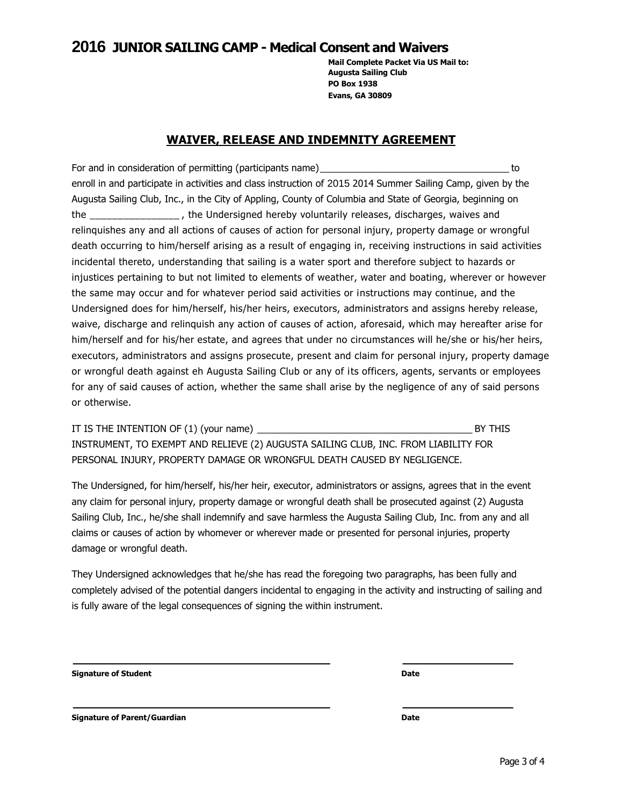**Mail Complete Packet Via US Mail to: Augusta Sailing Club PO Box 1938 Evans, GA 30809**

#### **WAIVER, RELEASE AND INDEMNITY AGREEMENT**

For and in consideration of permitting (participants name)\_\_\_\_\_\_\_\_\_\_\_\_\_\_\_\_\_\_\_\_\_\_\_\_\_\_\_\_\_\_\_\_\_\_\_\_ to enroll in and participate in activities and class instruction of 2015 2014 Summer Sailing Camp, given by the Augusta Sailing Club, Inc., in the City of Appling, County of Columbia and State of Georgia, beginning on the \_\_\_\_\_\_\_\_\_\_\_\_\_\_\_\_ , the Undersigned hereby voluntarily releases, discharges, waives and relinquishes any and all actions of causes of action for personal injury, property damage or wrongful death occurring to him/herself arising as a result of engaging in, receiving instructions in said activities incidental thereto, understanding that sailing is a water sport and therefore subject to hazards or injustices pertaining to but not limited to elements of weather, water and boating, wherever or however the same may occur and for whatever period said activities or instructions may continue, and the Undersigned does for him/herself, his/her heirs, executors, administrators and assigns hereby release, waive, discharge and relinquish any action of causes of action, aforesaid, which may hereafter arise for him/herself and for his/her estate, and agrees that under no circumstances will he/she or his/her heirs, executors, administrators and assigns prosecute, present and claim for personal injury, property damage or wrongful death against eh Augusta Sailing Club or any of its officers, agents, servants or employees for any of said causes of action, whether the same shall arise by the negligence of any of said persons or otherwise.

|                                                                                     | BY THIS |
|-------------------------------------------------------------------------------------|---------|
| INSTRUMENT, TO EXEMPT AND RELIEVE (2) AUGUSTA SAILING CLUB, INC. FROM LIABILITY FOR |         |
| PERSONAL INJURY, PROPERTY DAMAGE OR WRONGFUL DEATH CAUSED BY NEGLIGENCE.            |         |

The Undersigned, for him/herself, his/her heir, executor, administrators or assigns, agrees that in the event any claim for personal injury, property damage or wrongful death shall be prosecuted against (2) Augusta Sailing Club, Inc., he/she shall indemnify and save harmless the Augusta Sailing Club, Inc. from any and all claims or causes of action by whomever or wherever made or presented for personal injuries, property damage or wrongful death.

They Undersigned acknowledges that he/she has read the foregoing two paragraphs, has been fully and completely advised of the potential dangers incidental to engaging in the activity and instructing of sailing and is fully aware of the legal consequences of signing the within instrument.

**Signature of Student Date**

**Signature of Parent/Guardian Date**